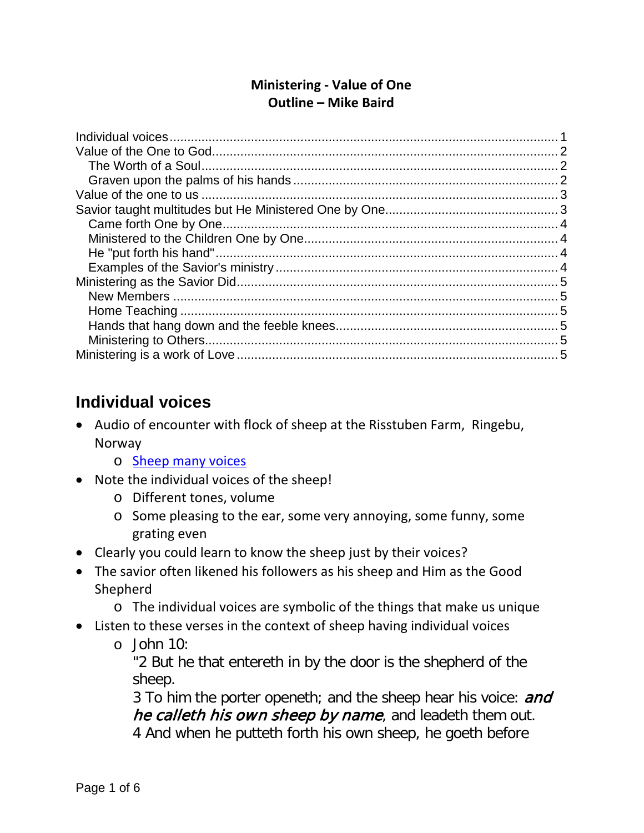#### **Ministering - Value of One Outline – Mike Baird**

# **Individual voices**

- Audio of encounter with flock of sheep at the Risstuben Farm, Ringebu, Norway
	- o [Sheep many voices](http://mikebaird.net/Church/GospelTopics/Sheep_many_voices.mp3)
- Note the individual voices of the sheep!
	- o Different tones, volume
	- o Some pleasing to the ear, some very annoying, some funny, some grating even
- Clearly you could learn to know the sheep just by their voices?
- The savior often likened his followers as his sheep and Him as the Good Shepherd
	- o The individual voices are symbolic of the things that make us unique
- Listen to these verses in the context of sheep having individual voices
	- $\circ$  John 10:

"2 But he that entereth in by the door is the shepherd of the sheep.

3 To him the porter openeth; and the sheep hear his voice: and he calleth his own sheep by name, and leadeth them out. 4 And when he putteth forth his own sheep, he goeth before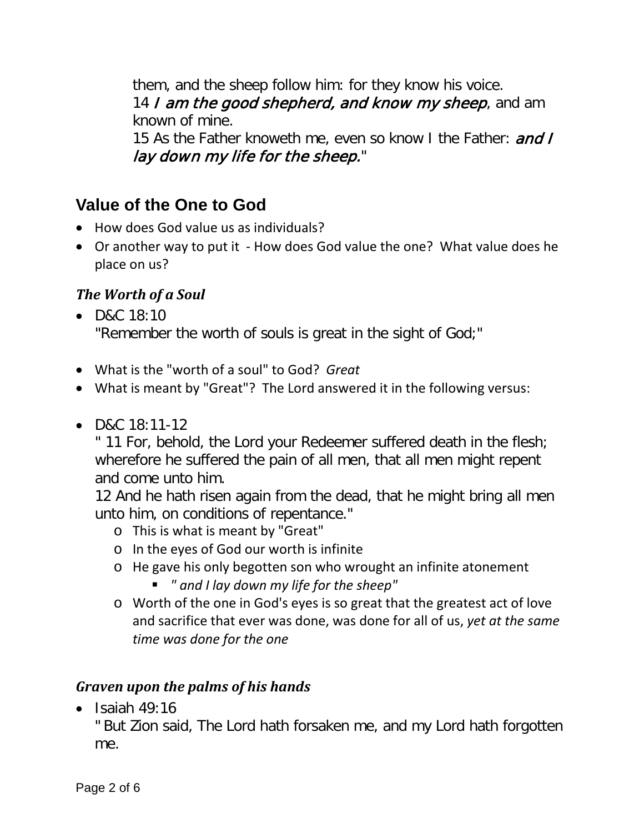them, and the sheep follow him: for they know his voice. 14 I am the good shepherd, and know my sheep, and am known of mine.

15 As the Father knoweth me, even so know I the Father: and I lay down my life for the sheep."

# **Value of the One to God**

- How does God value us as individuals?
- Or another way to put it How does God value the one? What value does he place on us?

### *The Worth of a Soul*

- D&C 18:10 "Remember the worth of souls is great in the sight of God;"
- What is the "worth of a soul" to God? *Great*
- What is meant by "Great"? The Lord answered it in the following versus:
- D&C 18:11-12

" 11 For, behold, the Lord your Redeemer suffered death in the flesh; wherefore he suffered the pain of all men, that all men might repent and come unto him.

12 And he hath risen again from the dead, that he might bring all men unto him, on conditions of repentance."

- o This is what is meant by "Great"
- o In the eyes of God our worth is infinite
- o He gave his only begotten son who wrought an infinite atonement
	- *" and I lay down my life for the sheep"*
- o Worth of the one in God's eyes is so great that the greatest act of love and sacrifice that ever was done, was done for all of us, *yet at the same time was done for the one*

#### *Graven upon the palms of his hands*

 $\bullet$  Isaiah 49.16

" But Zion said, The Lord hath forsaken me, and my Lord hath forgotten me.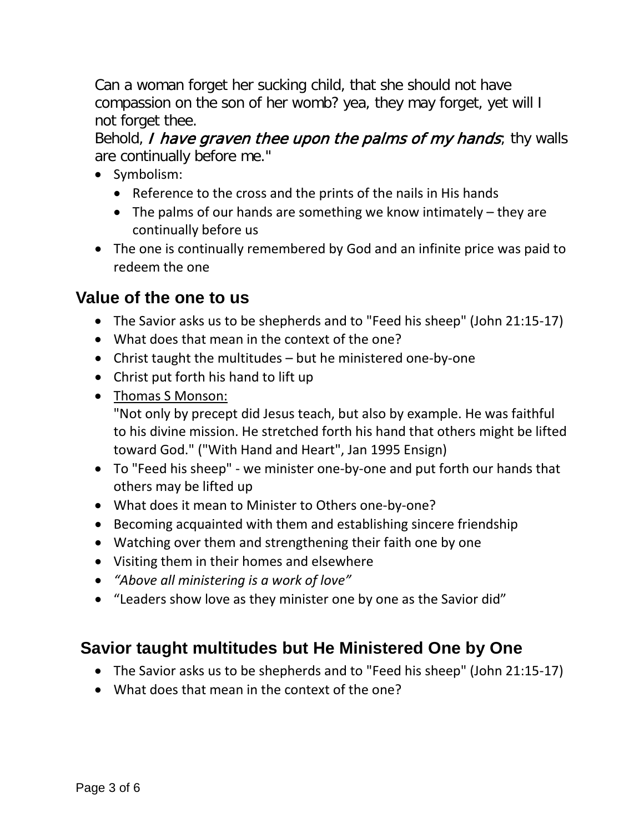Can a woman forget her sucking child, that she should not have compassion on the son of her womb? yea, they may forget, yet will I not forget thee.

Behold, I have graven thee upon the palms of my hands; thy walls are continually before me."

- Symbolism:
	- Reference to the cross and the prints of the nails in His hands
	- The palms of our hands are something we know intimately they are continually before us
- The one is continually remembered by God and an infinite price was paid to redeem the one

### **Value of the one to us**

- The Savior asks us to be shepherds and to "Feed his sheep" (John 21:15-17)
- What does that mean in the context of the one?
- Christ taught the multitudes but he ministered one-by-one
- Christ put forth his hand to lift up
- Thomas S Monson:

"Not only by precept did Jesus teach, but also by example. He was faithful to his divine mission. He stretched forth his hand that others might be lifted toward God." ("With Hand and Heart", Jan 1995 Ensign)

- To "Feed his sheep" we minister one-by-one and put forth our hands that others may be lifted up
- What does it mean to Minister to Others one-by-one?
- Becoming acquainted with them and establishing sincere friendship
- Watching over them and strengthening their faith one by one
- Visiting them in their homes and elsewhere
- *"Above all ministering is a work of love"*
- "Leaders show love as they minister one by one as the Savior did"

# **Savior taught multitudes but He Ministered One by One**

- The Savior asks us to be shepherds and to "Feed his sheep" (John 21:15-17)
- What does that mean in the context of the one?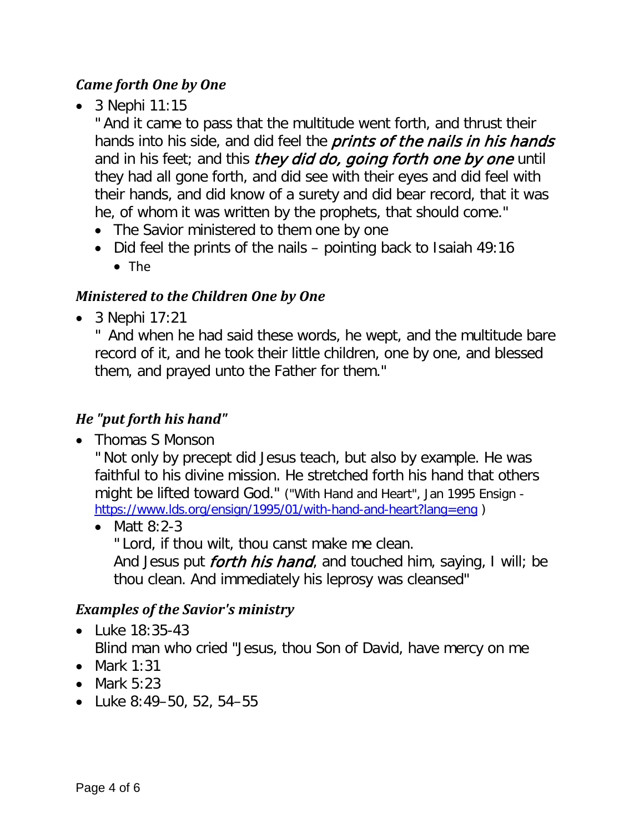#### *Came forth One by One*

• 3 Nephi 11:15

" And it came to pass that the multitude went forth, and thrust their hands into his side, and did feel the *prints of the nails in his hands* and in his feet; and this *they did do, going forth one by one* until they had all gone forth, and did see with their eyes and did feel with their hands, and did know of a surety and did bear record, that it was he, of whom it was written by the prophets, that should come."

- The Savior ministered to them one by one
- Did feel the prints of the nails pointing back to Isaiah 49:16 • The

### *Ministered to the Children One by One*

• 3 Nephi 17:21

" And when he had said these words, he wept, and the multitude bare record of it, and he took their little children, one by one, and blessed them, and prayed unto the Father for them."

### *He "put forth his hand"*

• Thomas S Monson

" Not only by precept did Jesus teach, but also by example. He was faithful to his divine mission. He stretched forth his hand that others might be lifted toward God." ("With Hand and Heart", Jan 1995 Ensign <https://www.lds.org/ensign/1995/01/with-hand-and-heart?lang=eng>)

• Matt 8:2-3

" Lord, if thou wilt, thou canst make me clean.

And Jesus put *forth his hand*, and touched him, saying, I will; be thou clean. And immediately his leprosy was cleansed"

### *Examples of the Savior's ministry*

• Luke 18:35-43

Blind man who cried "Jesus, thou Son of David, have mercy on me

- Mark 1:31
- Mark 5:23
- Luke 8:49–50, 52, 54–55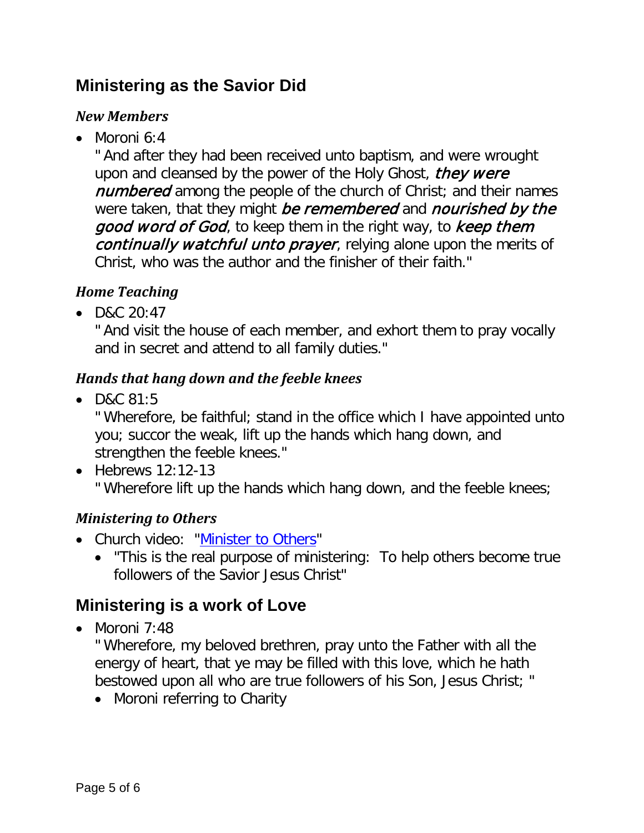# **Ministering as the Savior Did**

#### *New Members*

• Moroni  $6:4$ 

" And after they had been received unto baptism, and were wrought upon and cleansed by the power of the Holy Ghost, *they were* numbered among the people of the church of Christ; and their names were taken, that they might *be remembered* and *nourished by the* good word of God, to keep them in the right way, to keep them continually watchful unto prayer, relying alone upon the merits of Christ, who was the author and the finisher of their faith."

### *Home Teaching*

• D&C 20:47

" And visit the house of each member, and exhort them to pray vocally and in secret and attend to all family duties."

### *Hands that hang down and the feeble knees*

• D&C 81:5

" Wherefore, be faithful; stand in the office which I have appointed unto you; succor the weak, lift up the hands which hang down, and strengthen the feeble knees."

• Hebrews 12:12-13 " Wherefore lift up the hands which hang down, and the feeble knees;

### *Ministering to Others*

- Church video: ["Minister to Others"](https://www.lds.org/media-library/video/minister-to-others-1?lang=eng)
	- "This is the real purpose of ministering: To help others become true followers of the Savior Jesus Christ"

# **Ministering is a work of Love**

• Moroni 7:48

" Wherefore, my beloved brethren, pray unto the Father with all the energy of heart, that ye may be filled with this love, which he hath bestowed upon all who are true followers of his Son, Jesus Christ; "

• Moroni referring to Charity